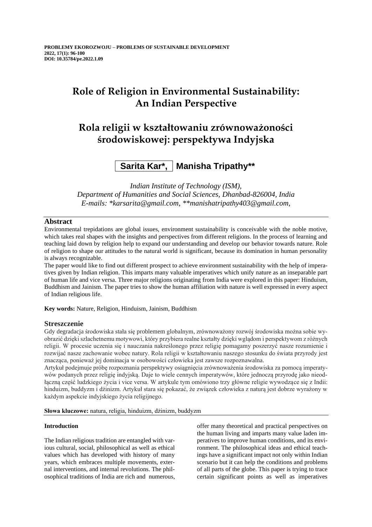# **Role of Religion in Environmental Sustainability: An Indian Perspective**

# **Rola religii w kształtowaniu zrównoważoności środowiskowej: perspektywa Indyjska**

# **Sarita Kar\*, Manisha Tripathy\*\***

*Indian Institute of Technology (ISM), Department of Humanities and Social Sciences, Dhanbad-826004, India E-mails: \*karsarita@gmail.com, \*\*manishatripathy403@gmail.com,*

# **Abstract**

Environmental trepidations are global issues, environment sustainability is conceivable with the noble motive, which takes real shapes with the insights and perspectives from different religions. In the process of learning and teaching laid down by religion help to expand our understanding and develop our behavior towards nature. Role of religion to shape our attitudes to the natural world is significant, because its domination in human personality is always recognizable.

The paper would like to find out different prospect to achieve environment sustainability with the help of imperatives given by Indian religion. This imparts many valuable imperatives which unify nature as an inseparable part of human life and vice versa. Three major religions originating from India were explored in this paper: Hinduism, Buddhism and Jainism. The paper tries to show the human affiliation with nature is well expressed in every aspect of Indian religious life.

**Key words:** Nature, Religion, Hinduism, Jainism, Buddhism

# **Streszczenie**

Gdy degradacja środowiska stała się problemem globalnym, zrównoważony rozwój środowiska można sobie wyobrazić dzięki szlachetnemu motywowi, który przybiera realne kształty dzięki wglądom i perspektywom z różnych religii. W procesie uczenia się i nauczania nakreślonego przez religię pomagamy poszerzyć nasze rozumienie i rozwijać nasze zachowanie wobec natury. Rola religii w kształtowaniu naszego stosunku do świata przyrody jest znacząca, ponieważ jej dominacja w osobowości człowieka jest zawsze rozpoznawalna.

Artykuł podejmuje próbę rozpoznania perspektywy osiągnięcia zrównoważenia środowiska za pomocą imperatywów podanych przez religię indyjską. Daje to wiele cennych imperatywów, które jednoczą przyrodę jako nieodłączną część ludzkiego życia i vice versa. W artykule tym omówiono trzy główne religie wywodzące się z Indii: hinduizm, buddyzm i dżinizm. Artykuł stara się pokazać, że związek człowieka z naturą jest dobrze wyrażony w każdym aspekcie indyjskiego życia religijnego.

**Słowa kluczowe:** natura, religia, hinduizm, dżinizm, buddyzm

# **Introduction**

The Indian religious tradition are entangled with various cultural, social, philosophical as well as ethical values which has developed with history of many years, which embraces multiple movements, external interventions, and internal revolutions. The philosophical traditions of India are rich and numerous, offer many theoretical and practical perspectives on the human living and imparts many value laden imperatives to improve human conditions, and its environment. The philosophical ideas and ethical teachings have a significant impact not only within Indian scenario but it can help the conditions and problems of all parts of the globe. This paper is trying to trace certain significant points as well as imperatives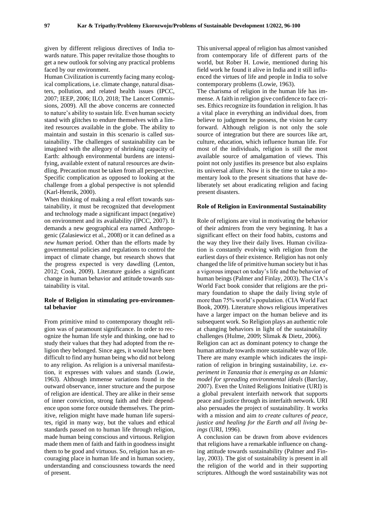given by different religious directives of India towards nature. This paper revitalize those thoughts to get a new outlook for solving any practical problems faced by our environment.

Human Civilization is currently facing many ecological complications, i.e. climate change, natural disasters, pollution, and related health issues (IPCC, 2007; IEEP, 2006; ILO, 2018; The Lancet Commissions, 2009). All the above concerns are connected to nature's ability to sustain life. Even human society stand with glitches to endure themselves with a limited resources available in the globe. The ability to maintain and sustain in this scenario is called sustainability. The challenges of sustainability can be imagined with the allegory of shrinking capacity of Earth: although environmental burdens are intensifying, available extent of natural resources are dwindling. Precaution must be taken from all perspective. Specific complication as opposed to looking at the challenge from a global perspective is not splendid (Karl-Henrik, 2000).

When thinking of making a real effort towards sustainability, it must be recognized that development and technology made a significant impact (negative) on environment and its availability (IPCC, 2007). It demands a new geographical era named Anthropogenic (Zalasiewicz et al., 2008) or it can defined as a *new human* period. Other than the efforts made by governmental policies and regulations to control the impact of climate change, but research shows that the progress expected is very dawdling (Lenton, 2012; Cook, 2009). Literature guides a significant change in human behavior and attitude towards sustainability is vital.

## **Role of Religion in stimulating pro-environmental behavior**

From primitive mind to contemporary thought religion was of paramount significance. In order to recognize the human life style and thinking, one had to study their values that they had adopted from the religion they belonged. Since ages, it would have been difficult to find any human being who did not belong to any religion. As religion is a universal manifestation, it expresses with values and stands (Lowie, 1963). Although immense variations found in the outward observance, inner structure and the purpose of religion are identical. They are alike in their sense of inner conviction, strong faith and their dependence upon some force outside themselves. The primitive, religion might have made human life supersites, rigid in many way, but the values and ethical standards passed on to human life through religion, made human being conscious and virtuous. Religion made them men of faith and faith in goodness insight them to be good and virtuous. So, religion has an encouraging place in human life and in human society, understanding and consciousness towards the need of present.

This universal appeal of religion has almost vanished from contemporary life of different parts of the world, but Rober H. Lowie, mentioned during his field work he found it alive in India and it still influenced the virtues of life and people in India to solve contemporary problems (Lowie, 1963).

The charisma of religion in the human life has immense. A faith in religion give confidence to face crises. Ethics recognize its foundation in religion. It has a vital place in everything an individual does, from believe to judgment he possess, the vision he carry forward. Although religion is not only the sole source of integration but there are sources like art, culture, education, which influence human life. For most of the individuals, religion is still the most available source of amalgamation of views. This point not only justifies its presence but also explains its universal allure. Now it is the time to take a momentary look to the present situations that have deliberately set about eradicating religion and facing present disasters.

#### **Role of Religion in Environmental Sustainability**

Role of religions are vital in motivating the behavior of their admirers from the very beginning. It has a significant effect on their food habits, customs and the way they live their daily lives. Human civilization is constantly evolving with religion from the earliest days of their existence. Religion has not only changed the life of primitive human society but it has a vigorous impact on today's life and the behavior of human beings (Palmer and Finlay, 2003). The CIA's World Fact book consider that religions are the primary foundation to shape the daily living style of more than 75% world's population. (CIA World Fact Book, 2009). Literature shows religious imperatives have a larger impact on the human believe and its subsequent work. So Religion plays an authentic role at changing behaviors in light of the sustainability challenges (Hulme, 2009; Slimak & Dietz, 2006). Religion can act as dominant potency to change the human attitude towards more sustainable way of life. There are many example which indicates the inspiration of religion in bringing sustainability, i.e. *experiment in Tanzania that is emerging as an Islamic model for spreading environmental ideals* (Barclay, 2007). Even the United Religions Initiative (URI) is a global prevalent interfaith network that supports peace and justice through its interfaith network. URI also persuades the project of sustainability. It works with a mission and aim *to create cultures of peace, justice and healing for the Earth and all living beings* (URI, 1996).

A conclusion can be drawn from above evidences that religions have a remarkable influence on changing attitude towards sustainability (Palmer and Finlay, 2003). The gist of sustainability is present in all the religion of the world and in their supporting scriptures. Although the word sustainability was not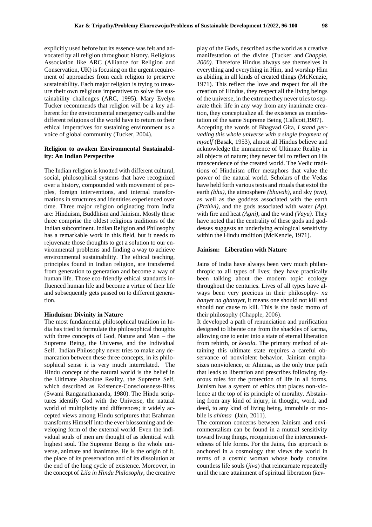explicitly used before but its essence was felt and advocated by all religion throughout history. Religious Association like ARC (Alliance for Religion and Conservation, UK) is focusing on the urgent requirement of approaches from each religion to preserve sustainability. Each major religion is trying to treasure their own religious imperatives to solve the sustainability challenges (ARC, 1995). Mary Evelyn Tucker recommends that religion will be a key adherent for the environmental emergency calls and the different religions of the world have to return to their ethical imperatives for sustaining environment as a voice of global community (Tucker, 2004).

## **Religion to awaken Environmental Sustainability: An Indian Perspective**

The Indian religion is knotted with different cultural, social, philosophical systems that have recognized over a history, compounded with movement of peoples, foreign interventions, and internal transformations in structures and identities experienced over time. Three major religion originating from India are: Hinduism, Buddhism and Jainism. Mostly these three comprise the oldest religious traditions of the Indian subcontinent. Indian Religion and Philosophy has a remarkable work in this field, but it needs to rejuvenate those thoughts to get a solution to our environmental problems and finding a way to achieve environmental sustainability. The ethical teaching, principles found in Indian religion, are transferred from generation to generation and become a way of human life. Those eco-friendly ethical standards influenced human life and become a virtue of their life and subsequently gets passed on to different generation.

#### **Hinduism: Divinity in Nature**

The most fundamental philosophical tradition in India has tried to formulate the philosophical thoughts with three concepts of God, Nature and Man – the Supreme Being, the Universe, and the Individual Self. Indian Philosophy never tries to make any demarcation between these three concepts, in its philosophical sense it is very much interrelated. The Hindu concept of the natural world is the belief in the Ultimate Absolute Reality, the Supreme Self, which described as Existence-Consciousness-Bliss (Swami Ranganathananda, 1980). The Hindu scriptures identify God with the Universe, the natural world of multiplicity and differences; it widely accepted views among Hindu scriptures that Brahman transforms Himself into the ever blossoming and developing form of the external world. Even the individual souls of men are thought of as identical with highest soul. The Supreme Being is the whole universe, animate and inanimate. He is the origin of it, the place of its preservation and of its dissolution at the end of the long cycle of existence. Moreover, in the concept of *Lila in Hindu Philosophy,* the creative

play of the Gods, described as the world as a creative manifestation of the divine (Tucker and *Chapple, 2000).* Therefore Hindus always see themselves in everything and everything in Him, and worship Him as abiding in all kinds of created things (McKenzie, 1971). This reflect the love and respect for all the creation of Hindus, they respect all the living beings of the universe, in the extreme they never tries to separate their life in any way from any inanimate creation, they conceptualize all the existence as manifestation of the same Supreme Being (Callcott,1987). Accepting the words of Bhagvad Gita, *I stand pervading this whole universe with a single fragment of myself* (Basak, 1953), almost all Hindus believe and acknowledge the immanence of Ultimate Reality in all objects of nature; they never fail to reflect on His transcendence of the created world. The Vedic traditions of Hinduism offer metaphors that value the power of the natural world. Scholars of the Vedas have held forth various texts and rituals that extol the earth *(bhu),* the atmosphere *(bhuvah),* and sky *(sva),* as well as the goddess associated with the earth *(Prthivi),* and the gods associated with water *(Ap),* with fire and heat *(Agni),* and the wind *(Vayu).* They have noted that the centrality of these gods and goddesses suggests an underlying ecological sensitivity within the Hindu tradition (McKenzie, 1971).

## **Jainism: Liberation with Nature**

Jains of India have always been very much philanthropic to all types of lives; they have practically been talking about the modern topic ecology throughout the centuries. Lives of all types have always been very precious in their philosophy- *na hanyet na ghatayet*, it means one should not kill and should not cause to kill. This is the basic motto of their philosophy (Chapple, 2006).

It developed a path of renunciation and purification designed to liberate one from the shackles of karma, allowing one to enter into a state of eternal liberation from rebirth, or *kevala*. The primary method of attaining this ultimate state requires a careful observance of nonviolent behavior. Jainism emphasizes nonviolence, or Ahimsa, as the only true path that leads to liberation and prescribes following rigorous rules for the protection of life in all forms. Jainism has a system of ethics that places non-violence at the top of its principle of morality. Abstaining from any kind of injury, in thought, word, and deed, to any kind of living being, immobile or mobile is *ahimsa* (Jain, 2011).

The common concerns between Jainism and environmentalism can be found in a mutual sensitivity toward living things, recognition of the interconnectedness of life forms. For the Jains, this approach is anchored in a cosmology that views the world in terms of a cosmic woman whose body contains countless life souls (*jiva*) that reincarnate repeatedly until the rare attainment of spiritual liberation (*kev-*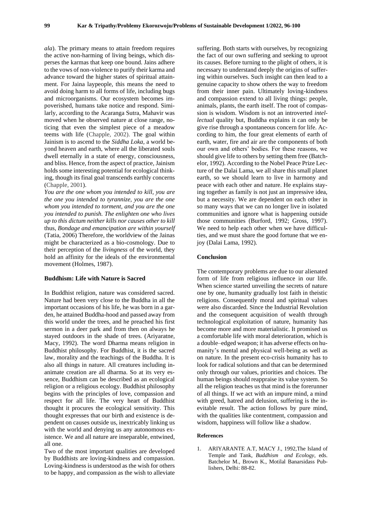*ala*). The primary means to attain freedom requires the active non-harming of living beings, which disperses the karmas that keep one bound. Jains adhere to the vows of non-violence to purify their karma and advance toward the higher states of spiritual attainment. For Jaina laypeople, this means the need to avoid doing harm to all forms of life, including bugs and microorganisms. Our ecosystem becomes impoverished, humans take notice and respond. Similarly, according to the Acaranga Sutra, Mahavir was moved when he observed nature at close range, noticing that even the simplest piece of a meadow teems with life (Chapple, 2002). The goal within Jainism is to ascend to the *Siddha Loka,* a world beyond heaven and earth, where all the liberated souls dwell eternally in a state of energy, consciousness, and bliss. Hence, from the aspect of practice, Jainism holds some interesting potential for ecological thinking, though its final goal transcends earthly concerns (Chapple, 2001).

*You are the one whom you intended to kill, you are the one you intended to tyrannize, you are the one whom you intended to torment, and you are the one you intended to punish. The enlighten one who lives up to this dictum neither kills nor causes other to kill* thus, *Bondage and emancipation are within yourself* (Tatia, 2006) Therefore, the worldview of the Jainas might be characterized as a bio-cosmology. Due to their perception of the *livingness* of the world, they hold an affinity for the ideals of the environmental movement (Holmes, 1987).

## **Buddhism: Life with Nature is Sacred**

In Buddhist religion, nature was considered sacred. Nature had been very close to the Buddha in all the important occasions of his life, he was born in a garden, he attained Buddha-hood and passed away from this world under the trees, and he preached his first sermon in a deer park and from then on always he stayed outdoors in the shade of trees. (Ariyaratne, Macy, 1992). The word Dharma means religion in Buddhist philosophy. For Buddhist, it is the sacred law, morality and the teachings of the Buddha. It is also all things in nature. All creatures including inanimate creation are all dharma. So at its very essence, Buddhism can be described as an ecological religion or a religious ecology. Buddhist philosophy begins with the principles of love, compassion and respect for all life. The very heart of Buddhist thought it procures the ecological sensitivity. This thought expresses that our birth and existence is dependent on causes outside us, inextricably linking us with the world and denying us any autonomous existence. We and all nature are inseparable, entwined, all one.

Two of the most important qualities are developed by Buddhists are loving-kindness and compassion. Loving-kindness is understood as the wish for others to be happy, and compassion as the wish to alleviate

suffering. Both starts with ourselves, by recognizing the fact of our own suffering and seeking to uproot its causes. Before turning to the plight of others, it is necessary to understand deeply the origins of suffering within ourselves. Such insight can then lead to a genuine capacity to show others the way to freedom from their inner pain. Ultimately loving-kindness and compassion extend to all living things: people, animals, plants, the earth itself. The root of compassion is wisdom. Wisdom is not an introverted *intellectual* quality but, Buddha explains it can only be give rise through a spontaneous concern for life. According to him, the four great elements of earth of earth, water, fire and air are the components of both our own and others' bodies. For these reasons, we should give life to others by setting them free (Batchelor, 1992). According to the Nobel Peace Prize Lecture of the Dalai Lama, we all share this small planet earth, so we should learn to live in harmony and peace with each other and nature. He explains staying together as family is not just an impressive idea, but a necessity. We are dependent on each other in so many ways that we can no longer live in isolated communities and ignore what is happening outside those communities (Burford, 1992; Gross, 1997). We need to help each other when we have difficulties, and we must share the good fortune that we enjoy (Dalai Lama, 1992).

## **Conclusion**

The contemporary problems are due to our alienated form of life from religious influence in our life. When science started unveiling the secrets of nature one by one, humanity gradually lost faith in theistic religions. Consequently moral and spiritual values were also discarded. Since the Industrial Revolution and the consequent acquisition of wealth through technological exploitation of nature, humanity has become more and more materialistic. It promised us a comfortable life with moral deterioration, which is a double–edged weapon; it has adverse effects on humanity's mental and physical well-being as well as on nature. In the present eco-crisis humanity has to look for radical solutions and that can be determined only through our values, priorities and choices. The human beings should reappraise its value system. So all the religion teaches us that mind is the forerunner of all things. If we act with an impure mind, a mind with greed, hatred and delusion, suffering is the inevitable result. The action follows by pure mind, with the qualities like contentment, compassion and wisdom, happiness will follow like a shadow.

## **References**

1. ARIYARANTE A.T, MACY J., 1992,The Island of Temple and Tank, *Buddhism and Ecology*, eds. Batchelor M., Brown K., Motilal Banarsidass Publishers, Delhi: 88-82.